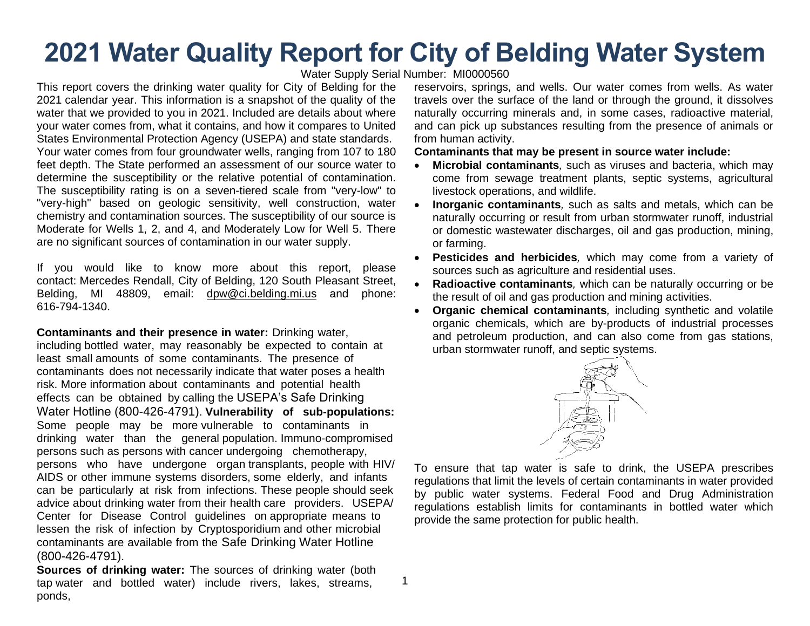# **2021 Water Quality Report for City of Belding Water System**

#### Water Supply Serial Number: MI0000560

1

This report covers the drinking water quality for City of Belding for the 2021 calendar year. This information is a snapshot of the quality of the water that we provided to you in 2021. Included are details about where your water comes from, what it contains, and how it compares to United States Environmental Protection Agency (USEPA) and state standards. Your water comes from four groundwater wells, ranging from 107 to 180 feet depth. The State performed an assessment of our source water to determine the susceptibility or the relative potential of contamination. The susceptibility rating is on a seven-tiered scale from "very-low" to "very-high" based on geologic sensitivity, well construction, water chemistry and contamination sources. The susceptibility of our source is Moderate for Wells 1, 2, and 4, and Moderately Low for Well 5. There are no significant sources of contamination in our water supply.

If you would like to know more about this report, please contact: Mercedes Rendall, City of Belding, 120 South Pleasant Street, Belding, MI 48809, email[: dpw@ci.belding.mi.us](mailto:dpw@ci.belding.mi.us) and phone: 616-794-1340.

**Contaminants and their presence in water:** Drinking water, including bottled water, may reasonably be expected to contain at least small amounts of some contaminants. The presence of contaminants does not necessarily indicate that water poses a health risk. More information about contaminants and potential health effects can be obtained by calling the USEPA's Safe Drinking Water Hotline (800-426-4791). **Vulnerability of sub-populations:**  Some people may be more vulnerable to contaminants in drinking water than the general population. Immuno-compromised persons such as persons with cancer undergoing chemotherapy, persons who have undergone organ transplants, people with HIV/ AIDS or other immune systems disorders, some elderly, and infants can be particularly at risk from infections. These people should seek advice about drinking water from their health care providers. USEPA/ Center for Disease Control guidelines on appropriate means to lessen the risk of infection by Cryptosporidium and other microbial contaminants are available from the Safe Drinking Water Hotline (800-426-4791).

**Sources of drinking water:** The sources of drinking water (both tap water and bottled water) include rivers, lakes, streams, ponds,

reservoirs, springs, and wells. Our water comes from wells. As water travels over the surface of the land or through the ground, it dissolves naturally occurring minerals and, in some cases, radioactive material, and can pick up substances resulting from the presence of animals or from human activity.

#### **Contaminants that may be present in source water include:**

- **Microbial contaminants***,* such as viruses and bacteria, which may come from sewage treatment plants, septic systems, agricultural livestock operations, and wildlife.
- **Inorganic contaminants***,* such as salts and metals, which can be naturally occurring or result from urban stormwater runoff, industrial or domestic wastewater discharges, oil and gas production, mining, or farming.
- **Pesticides and herbicides***,* which may come from a variety of sources such as agriculture and residential uses.
- **Radioactive contaminants***,* which can be naturally occurring or be the result of oil and gas production and mining activities.
- **Organic chemical contaminants***,* including synthetic and volatile organic chemicals, which are by-products of industrial processes and petroleum production, and can also come from gas stations, urban stormwater runoff, and septic systems.



To ensure that tap water is safe to drink, the USEPA prescribes regulations that limit the levels of certain contaminants in water provided by public water systems. Federal Food and Drug Administration regulations establish limits for contaminants in bottled water which provide the same protection for public health.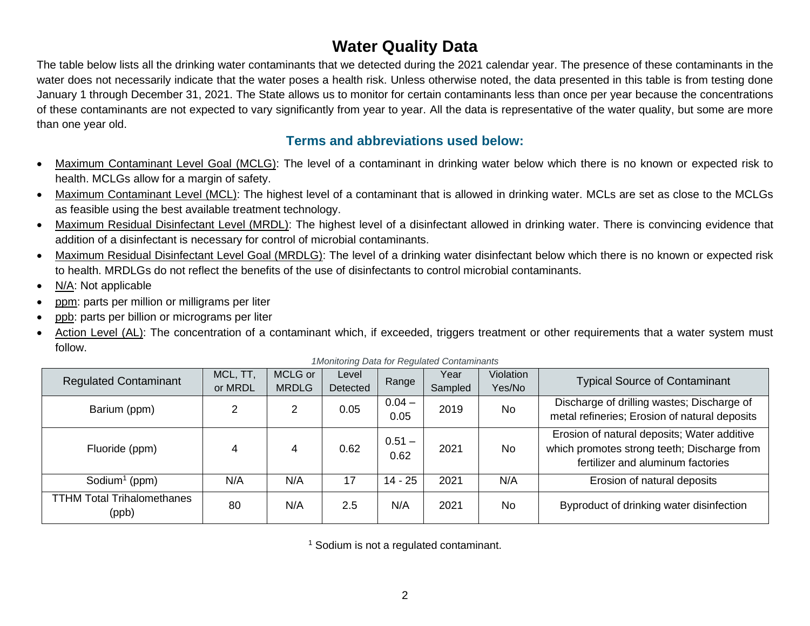# **Water Quality Data**

The table below lists all the drinking water contaminants that we detected during the 2021 calendar year. The presence of these contaminants in the water does not necessarily indicate that the water poses a health risk. Unless otherwise noted, the data presented in this table is from testing done January 1 through December 31, 2021. The State allows us to monitor for certain contaminants less than once per year because the concentrations of these contaminants are not expected to vary significantly from year to year. All the data is representative of the water quality, but some are more than one year old.

### **Terms and abbreviations used below:**

- Maximum Contaminant Level Goal (MCLG): The level of a contaminant in drinking water below which there is no known or expected risk to health. MCLGs allow for a margin of safety.
- Maximum Contaminant Level (MCL): The highest level of a contaminant that is allowed in drinking water. MCLs are set as close to the MCLGs as feasible using the best available treatment technology.
- Maximum Residual Disinfectant Level (MRDL): The highest level of a disinfectant allowed in drinking water. There is convincing evidence that addition of a disinfectant is necessary for control of microbial contaminants.
- Maximum Residual Disinfectant Level Goal (MRDLG): The level of a drinking water disinfectant below which there is no known or expected risk to health. MRDLGs do not reflect the benefits of the use of disinfectants to control microbial contaminants.
- N/A: Not applicable
- ppm: parts per million or milligrams per liter
- ppb: parts per billion or micrograms per liter
- Action Level (AL): The concentration of a contaminant which, if exceeded, triggers treatment or other requirements that a water system must follow.

| <b>Regulated Contaminant</b>               | MCL, TT,<br>or MRDL | MCLG or<br><b>MRDLG</b> | Level<br>Detected | Range            | Year<br>Sampled | Violation<br>Yes/No | <b>Typical Source of Contaminant</b>                                                                                            |
|--------------------------------------------|---------------------|-------------------------|-------------------|------------------|-----------------|---------------------|---------------------------------------------------------------------------------------------------------------------------------|
| Barium (ppm)                               | 2                   | 2                       | 0.05              | $0.04 -$<br>0.05 | 2019            | <b>No</b>           | Discharge of drilling wastes; Discharge of<br>metal refineries; Erosion of natural deposits                                     |
| Fluoride (ppm)                             | 4                   | 4                       | 0.62              | $0.51 -$<br>0.62 | 2021            | <b>No</b>           | Erosion of natural deposits; Water additive<br>which promotes strong teeth; Discharge from<br>fertilizer and aluminum factories |
| Sodium <sup>1</sup> (ppm)                  | N/A                 | N/A                     | 17                | 14 - 25          | 2021            | N/A                 | Erosion of natural deposits                                                                                                     |
| <b>TTHM Total Trihalomethanes</b><br>(ppb) | 80                  | N/A                     | 2.5               | N/A              | 2021            | <b>No</b>           | Byproduct of drinking water disinfection                                                                                        |

*1Monitoring Data for Regulated Contaminants*

<sup>1</sup> Sodium is not a regulated contaminant.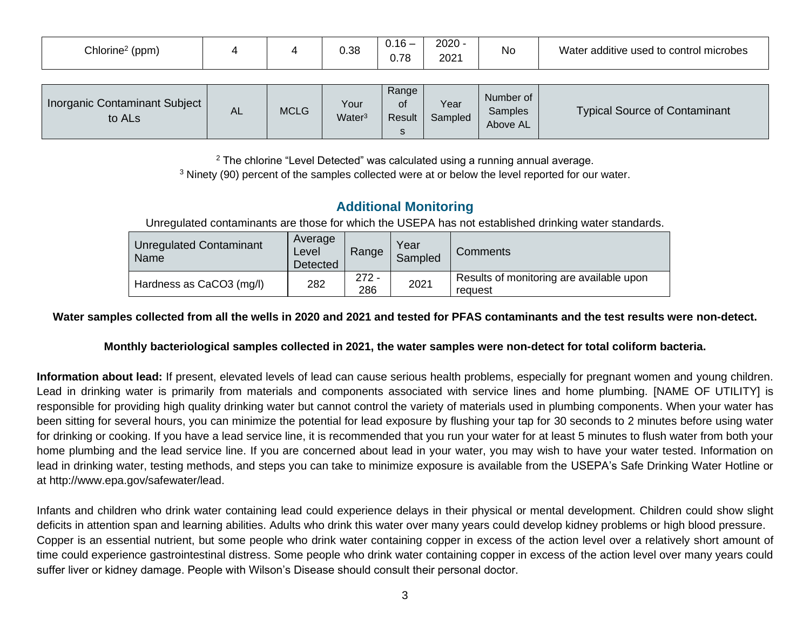| Chlorine <sup>2</sup> (ppm)                                |    |             | 0.38                       | $0.16 -$<br>0.78           | $2020 -$<br>2021 | No                               | Water additive used to control microbes |
|------------------------------------------------------------|----|-------------|----------------------------|----------------------------|------------------|----------------------------------|-----------------------------------------|
| <b>Inorganic Contaminant Subject</b><br>to AL <sub>s</sub> | AL | <b>MCLG</b> | Your<br>Water <sup>3</sup> | Range<br>of<br>Result<br>s | Year<br>Sampled  | Number of<br>Samples<br>Above AL | <b>Typical Source of Contaminant</b>    |

 $2$  The chlorine "Level Detected" was calculated using a running annual average.

<sup>3</sup> Ninety (90) percent of the samples collected were at or below the level reported for our water.

## **Additional Monitoring**

Unregulated contaminants are those for which the USEPA has not established drinking water standards.

| Unregulated Contaminant<br>Name | Average<br>Level<br>Detected | Range          | Year<br>Sampled | Comments                                            |  |
|---------------------------------|------------------------------|----------------|-----------------|-----------------------------------------------------|--|
| Hardness as CaCO3 (mg/l)        | 282                          | $272 -$<br>286 | 2021            | Results of monitoring are available upon<br>request |  |

#### **Water samples collected from all the wells in 2020 and 2021 and tested for PFAS contaminants and the test results were non-detect.**

### **Monthly bacteriological samples collected in 2021, the water samples were non-detect for total coliform bacteria.**

**Information about lead:** If present, elevated levels of lead can cause serious health problems, especially for pregnant women and young children. Lead in drinking water is primarily from materials and components associated with service lines and home plumbing. [NAME OF UTILITY] is responsible for providing high quality drinking water but cannot control the variety of materials used in plumbing components. When your water has been sitting for several hours, you can minimize the potential for lead exposure by flushing your tap for 30 seconds to 2 minutes before using water for drinking or cooking. If you have a lead service line, it is recommended that you run your water for at least 5 minutes to flush water from both your home plumbing and the lead service line. If you are concerned about lead in your water, you may wish to have your water tested. Information on lead in drinking water, testing methods, and steps you can take to minimize exposure is available from the USEPA's Safe Drinking Water Hotline or at http://www.epa.gov/safewater/lead.

Infants and children who drink water containing lead could experience delays in their physical or mental development. Children could show slight deficits in attention span and learning abilities. Adults who drink this water over many years could develop kidney problems or high blood pressure. Copper is an essential nutrient, but some people who drink water containing copper in excess of the action level over a relatively short amount of time could experience gastrointestinal distress. Some people who drink water containing copper in excess of the action level over many years could suffer liver or kidney damage. People with Wilson's Disease should consult their personal doctor.